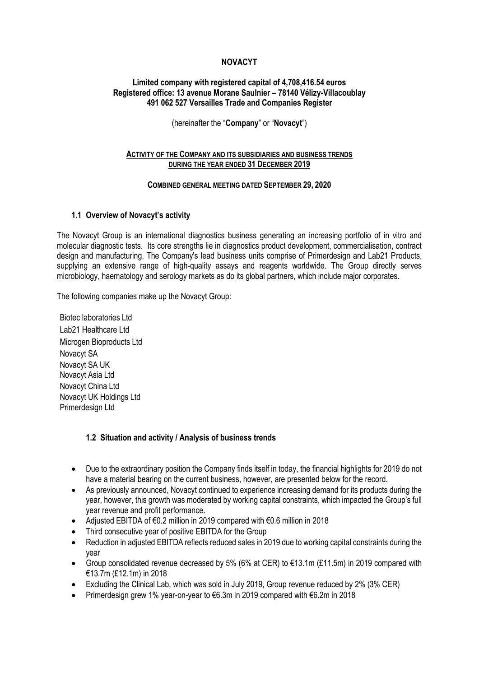## **NOVACYT**

### **Limited company with registered capital of 4,708,416.54 euros Registered office: 13 avenue Morane Saulnier – 78140 Vélizy-Villacoublay 491 062 527 Versailles Trade and Companies Register**

(hereinafter the "**Company**" or "**Novacyt**")

### **ACTIVITY OF THE COMPANY AND ITS SUBSIDIARIES AND BUSINESS TRENDS DURING THE YEAR ENDED 31 DECEMBER 2019**

#### **COMBINED GENERAL MEETING DATED SEPTEMBER 29, 2020**

### **1.1 Overview of Novacyt's activity**

The Novacyt Group is an international diagnostics business generating an increasing portfolio of in vitro and molecular diagnostic tests. Its core strengths lie in diagnostics product development, commercialisation, contract design and manufacturing. The Company's lead business units comprise of Primerdesign and Lab21 Products, supplying an extensive range of high-quality assays and reagents worldwide. The Group directly serves microbiology, haematology and serology markets as do its global partners, which include major corporates.

The following companies make up the Novacyt Group:

Biotec laboratories Ltd Lab21 Healthcare Ltd Microgen Bioproducts Ltd Novacyt SA Novacyt SA UK Novacyt Asia Ltd Novacyt China Ltd Novacyt UK Holdings Ltd Primerdesign Ltd

### **1.2 Situation and activity / Analysis of business trends**

- Due to the extraordinary position the Company finds itself in today, the financial highlights for 2019 do not have a material bearing on the current business, however, are presented below for the record.
- As previously announced, Novacyt continued to experience increasing demand for its products during the year, however, this growth was moderated by working capital constraints, which impacted the Group's full year revenue and profit performance.
- Adjusted EBITDA of €0.2 million in 2019 compared with €0.6 million in 2018
- Third consecutive year of positive EBITDA for the Group
- Reduction in adjusted EBITDA reflects reduced sales in 2019 due to working capital constraints during the year
- Group consolidated revenue decreased by 5% (6% at CER) to  $\epsilon$ 13.1m (£11.5m) in 2019 compared with €13.7m (£12.1m) in 2018
- Excluding the Clinical Lab, which was sold in July 2019, Group revenue reduced by 2% (3% CER)
- Primerdesign grew 1% year-on-year to €6.3m in 2019 compared with €6.2m in 2018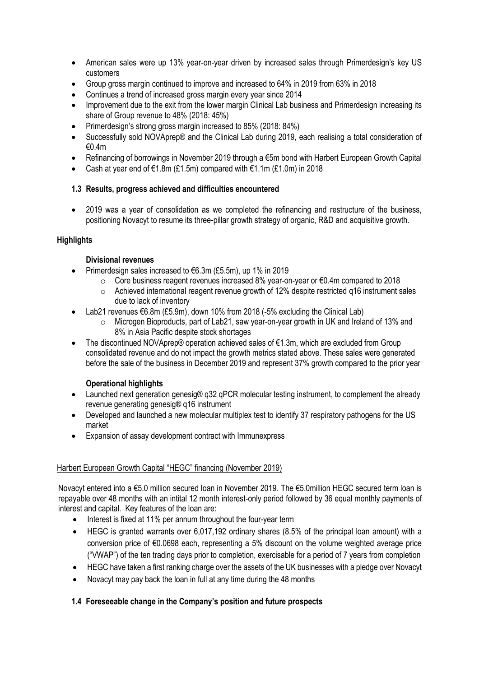- American sales were up 13% year-on-year driven by increased sales through Primerdesign's key US customers
- Group gross margin continued to improve and increased to 64% in 2019 from 63% in 2018
- Continues a trend of increased gross margin every year since 2014
- Improvement due to the exit from the lower margin Clinical Lab business and Primerdesign increasing its share of Group revenue to 48% (2018: 45%)
- Primerdesign's strong gross margin increased to 85% (2018: 84%)
- Successfully sold NOVAprep® and the Clinical Lab during 2019, each realising a total consideration of €0.4m
- Refinancing of borrowings in November 2019 through a €5m bond with Harbert European Growth Capital
- Cash at year end of €1.8m (£1.5m) compared with  $€1.1m$  (£1.0m) in 2018

## **1.3 Results, progress achieved and difficulties encountered**

• 2019 was a year of consolidation as we completed the refinancing and restructure of the business, positioning Novacyt to resume its three-pillar growth strategy of organic, R&D and acquisitive growth*.*

## **Highlights**

## **Divisional revenues**

- Primerdesign sales increased to €6.3m (£5.5m), up 1% in 2019
	- o Core business reagent revenues increased 8% year-on-year or €0.4m compared to 2018
	- o Achieved international reagent revenue growth of 12% despite restricted q16 instrument sales due to lack of inventory
- Lab21 revenues €6.8m (£5.9m), down 10% from 2018 (-5% excluding the Clinical Lab)
	- $\circ$  Microgen Bioproducts, part of Lab21, saw year-on-year growth in UK and Ireland of 13% and 8% in Asia Pacific despite stock shortages
- The discontinued NOVAprep® operation achieved sales of €1.3m, which are excluded from Group consolidated revenue and do not impact the growth metrics stated above. These sales were generated before the sale of the business in December 2019 and represent 37% growth compared to the prior year

# **Operational highlights**

- Launched next generation genesig® g32 gPCR molecular testing instrument, to complement the already revenue generating genesig® q16 instrument
- Developed and launched a new molecular multiplex test to identify 37 respiratory pathogens for the US market
- Expansion of assay development contract with Immunexpress

# Harbert European Growth Capital "HEGC" financing (November 2019)

Novacyt entered into a €5.0 million secured loan in November 2019. The €5.0million HEGC secured term loan is repayable over 48 months with an intital 12 month interest-only period followed by 36 equal monthly payments of interest and capital. Key features of the loan are:

- Interest is fixed at 11% per annum throughout the four-year term
- HEGC is granted warrants over 6,017,192 ordinary shares (8.5% of the principal loan amount) with a conversion price of €0.0698 each, representing a 5% discount on the volume weighted average price ("VWAP") of the ten trading days prior to completion, exercisable for a period of 7 years from completion
- HEGC have taken a first ranking charge over the assets of the UK businesses with a pledge over Novacyt
- Novacyt may pay back the loan in full at any time during the 48 months

# **1.4 Foreseeable change in the Company's position and future prospects**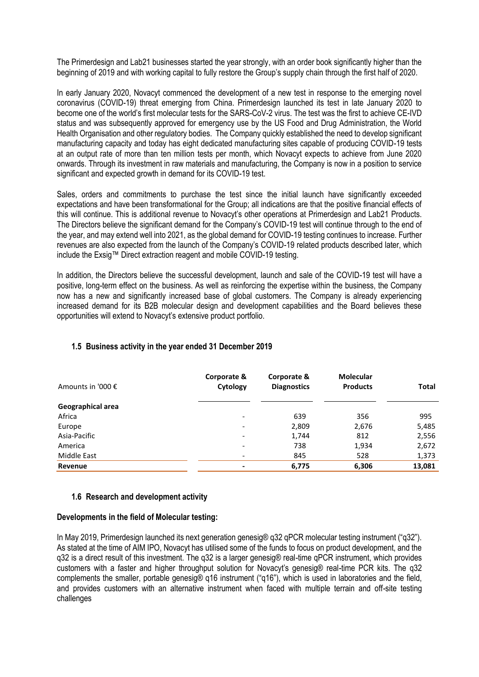The Primerdesign and Lab21 businesses started the year strongly, with an order book significantly higher than the beginning of 2019 and with working capital to fully restore the Group's supply chain through the first half of 2020.

In early January 2020, Novacyt commenced the development of a new test in response to the emerging novel coronavirus (COVID-19) threat emerging from China. Primerdesign launched its test in late January 2020 to become one of the world's first molecular tests for the SARS-CoV-2 virus. The test was the first to achieve CE-IVD status and was subsequently approved for emergency use by the US Food and Drug Administration, the World Health Organisation and other regulatory bodies. The Company quickly established the need to develop significant manufacturing capacity and today has eight dedicated manufacturing sites capable of producing COVID-19 tests at an output rate of more than ten million tests per month, which Novacyt expects to achieve from June 2020 onwards. Through its investment in raw materials and manufacturing, the Company is now in a position to service significant and expected growth in demand for its COVID-19 test.

Sales, orders and commitments to purchase the test since the initial launch have significantly exceeded expectations and have been transformational for the Group; all indications are that the positive financial effects of this will continue. This is additional revenue to Novacyt's other operations at Primerdesign and Lab21 Products. The Directors believe the significant demand for the Company's COVID-19 test will continue through to the end of the year, and may extend well into 2021, as the global demand for COVID-19 testing continues to increase. Further revenues are also expected from the launch of the Company's COVID-19 related products described later, which include the Exsig™ Direct extraction reagent and mobile COVID-19 testing.

In addition, the Directors believe the successful development, launch and sale of the COVID-19 test will have a positive, long-term effect on the business. As well as reinforcing the expertise within the business, the Company now has a new and significantly increased base of global customers. The Company is already experiencing increased demand for its B2B molecular design and development capabilities and the Board believes these opportunities will extend to Novacyt's extensive product portfolio.

| Amounts in '000 € | Corporate &<br>Cytology  | Corporate &<br><b>Diagnostics</b> | <b>Molecular</b><br><b>Products</b> | <b>Total</b> |
|-------------------|--------------------------|-----------------------------------|-------------------------------------|--------------|
| Geographical area |                          |                                   |                                     |              |
| Africa            | $\overline{\phantom{a}}$ | 639                               | 356                                 | 995          |
| Europe            | $\overline{\phantom{a}}$ | 2,809                             | 2,676                               | 5,485        |
| Asia-Pacific      | $\overline{\phantom{a}}$ | 1,744                             | 812                                 | 2,556        |
| America           | $\overline{\phantom{a}}$ | 738                               | 1,934                               | 2,672        |
| Middle East       | $\overline{\phantom{a}}$ | 845                               | 528                                 | 1,373        |
| Revenue           | $\blacksquare$           | 6,775                             | 6,306                               | 13,081       |

## **1.5 Business activity in the year ended 31 December 2019**

## **1.6 Research and development activity**

### **Developments in the field of Molecular testing:**

In May 2019, Primerdesign launched its next generation genesig® q32 qPCR molecular testing instrument ("q32"). As stated at the time of AIM IPO, Novacyt has utilised some of the funds to focus on product development, and the q32 is a direct result of this investment. The q32 is a larger genesig® real-time qPCR instrument, which provides customers with a faster and higher throughput solution for Novacyt's genesig® real-time PCR kits. The q32 complements the smaller, portable genesig® q16 instrument ("q16"), which is used in laboratories and the field, and provides customers with an alternative instrument when faced with multiple terrain and off-site testing challenges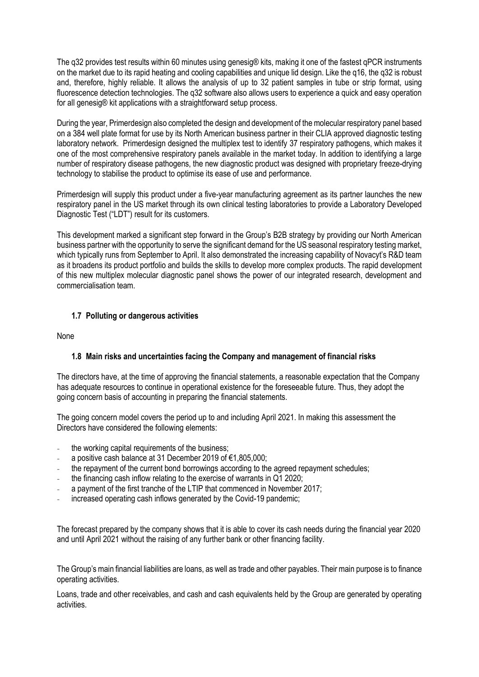The q32 provides test results within 60 minutes using genesig® kits, making it one of the fastest qPCR instruments on the market due to its rapid heating and cooling capabilities and unique lid design. Like the q16, the q32 is robust and, therefore, highly reliable. It allows the analysis of up to 32 patient samples in tube or strip format, using fluorescence detection technologies. The q32 software also allows users to experience a quick and easy operation for all genesig® kit applications with a straightforward setup process.

During the year, Primerdesign also completed the design and development of the molecular respiratory panel based on a 384 well plate format for use by its North American business partner in their CLIA approved diagnostic testing laboratory network. Primerdesign designed the multiplex test to identify 37 respiratory pathogens, which makes it one of the most comprehensive respiratory panels available in the market today. In addition to identifying a large number of respiratory disease pathogens, the new diagnostic product was designed with proprietary freeze-drying technology to stabilise the product to optimise its ease of use and performance.

Primerdesign will supply this product under a five-year manufacturing agreement as its partner launches the new respiratory panel in the US market through its own clinical testing laboratories to provide a Laboratory Developed Diagnostic Test ("LDT") result for its customers.

This development marked a significant step forward in the Group's B2B strategy by providing our North American business partner with the opportunity to serve the significant demand for the US seasonal respiratory testing market, which typically runs from September to April. It also demonstrated the increasing capability of Novacyt's R&D team as it broadens its product portfolio and builds the skills to develop more complex products. The rapid development of this new multiplex molecular diagnostic panel shows the power of our integrated research, development and commercialisation team.

## **1.7 Polluting or dangerous activities**

None

## **1.8 Main risks and uncertainties facing the Company and management of financial risks**

The directors have, at the time of approving the financial statements, a reasonable expectation that the Company has adequate resources to continue in operational existence for the foreseeable future. Thus, they adopt the going concern basis of accounting in preparing the financial statements.

The going concern model covers the period up to and including April 2021. In making this assessment the Directors have considered the following elements:

- the working capital requirements of the business;
- a positive cash balance at 31 December 2019 of €1,805,000;
- the repayment of the current bond borrowings according to the agreed repayment schedules;
- the financing cash inflow relating to the exercise of warrants in Q1 2020;
- a payment of the first tranche of the LTIP that commenced in November 2017;
- increased operating cash inflows generated by the Covid-19 pandemic;

The forecast prepared by the company shows that it is able to cover its cash needs during the financial year 2020 and until April 2021 without the raising of any further bank or other financing facility.

The Group's main financial liabilities are loans, as well as trade and other payables. Their main purpose is to finance operating activities.

Loans, trade and other receivables, and cash and cash equivalents held by the Group are generated by operating activities.